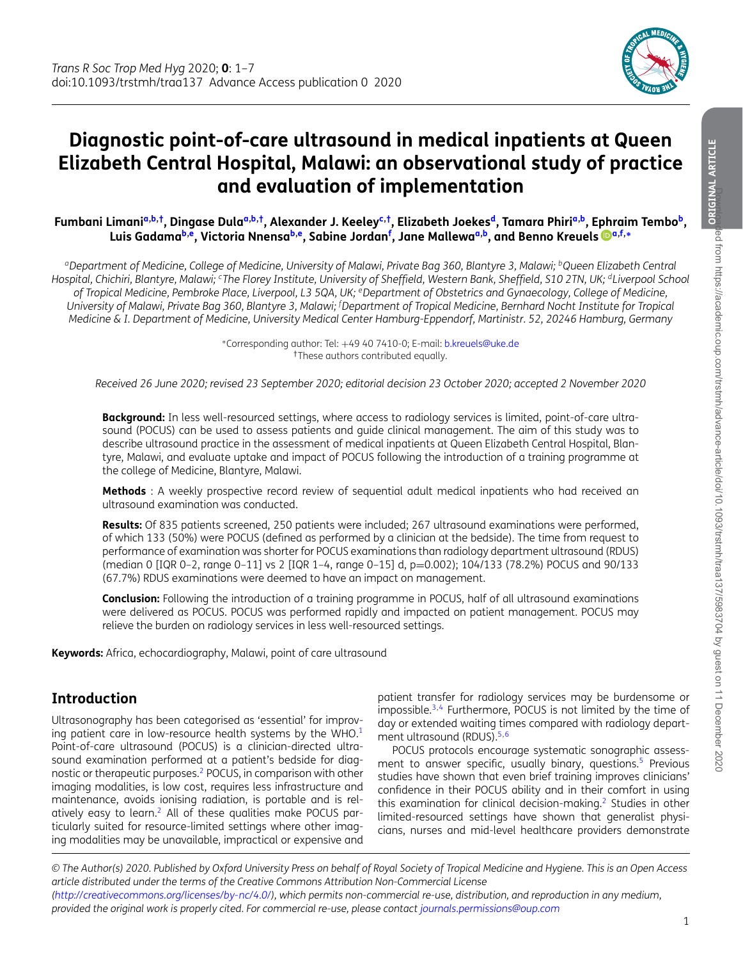<span id="page-0-4"></span><span id="page-0-1"></span>

# **Diagnostic point-of-care ultrasound in medical inpatients at Queen Elizabeth Central Hospital, Malawi: an observational study of practice and evaluation of implementation**

Fumb[a](#page-0-0)ni Limani<sup>a[,b,](#page-0-1)†</sup>, Dingase Dula<sup>a,b,†</sup>, Alexander J. Keeley<sup>c,†</sup>, Elizabeth Joekes<sup>d</sup>, Tamara Phiri<sup>a,b</sup>, Ephraim Tembo<sup>b</sup>, **Luis Gadam[ab](#page-0-1)[,e,](#page-0-5) Victoria Nnens[ab](#page-0-1)[,e,](#page-0-5) Sabine Jorda[nf](#page-0-6) , Jane Mallewa[a](#page-0-0)[,b,](#page-0-1) and Benno Kreuels [a](#page-0-0)[,f,](#page-0-6)[∗](#page-0-7)**

<span id="page-0-0"></span>*aDepartment of Medicine, College of Medicine, University of Malawi, Private Bag 360, Blantyre 3, Malawi; bQueen Elizabeth Central Hospital, Chichiri, Blantyre, Malawi; cThe Florey Institute, University of Sheffield, Western Bank, Sheffield, S10 2TN, UK; dLiverpool School of Tropical Medicine, Pembroke Place, Liverpool, L3 5QA, UK; eDepartment of Obstetrics and Gynaecology, College of Medicine, University of Malawi, Private Bag 360, Blantyre 3, Malawi; <sup>f</sup> Department of Tropical Medicine, Bernhard Nocht Institute for Tropical Medicine & I. Department of Medicine, University Medical Center Hamburg-Eppendorf, Martinistr. 52, 20246 Hamburg, Germany*

> <span id="page-0-7"></span><span id="page-0-6"></span><span id="page-0-5"></span><span id="page-0-3"></span><span id="page-0-2"></span><sup>∗</sup>Corresponding author: Tel: +49 40 7410-0; E-mail: [b.kreuels@uke.de](mailto:b.kreuels@uke.de) †These authors contributed equally.

*Received 26 June 2020; revised 23 September 2020; editorial decision 23 October 2020; accepted 2 November 2020*

**Background:** In less well-resourced settings, where access to radiology services is limited, point-of-care ultrasound (POCUS) can be used to assess patients and guide clinical management. The aim of this study was to describe ultrasound practice in the assessment of medical inpatients at Queen Elizabeth Central Hospital, Blantyre, Malawi, and evaluate uptake and impact of POCUS following the introduction of a training programme at the college of Medicine, Blantyre, Malawi.

**Methods** : A weekly prospective record review of sequential adult medical inpatients who had received an ultrasound examination was conducted.

**Results:** Of 835 patients screened, 250 patients were included; 267 ultrasound examinations were performed, of which 133 (50%) were POCUS (defined as performed by a clinician at the bedside). The time from request to performance of examination was shorter for POCUS examinations than radiology department ultrasound (RDUS) (median 0 [IQR 0–2, range 0–11] vs 2 [IQR 1–4, range 0–15] d, p=0.002); 104/133 (78.2%) POCUS and 90/133 (67.7%) RDUS examinations were deemed to have an impact on management.

**Conclusion:** Following the introduction of a training programme in POCUS, half of all ultrasound examinations were delivered as POCUS. POCUS was performed rapidly and impacted on patient management. POCUS may relieve the burden on radiology services in less well-resourced settings.

**Keywords:** Africa, echocardiography, Malawi, point of care ultrasound

### **Introduction**

Ultrasonography has been categorised as 'essential' for improving patient care in low-resource health systems by the WHO. $1$ Point-of-care ultrasound (POCUS) is a clinician-directed ultrasound examination performed at a patient's bedside for diagnostic or therapeutic purposes[.2](#page-6-1) POCUS, in comparison with other imaging modalities, is low cost, requires less infrastructure and maintenance, avoids ionising radiation, is portable and is relatively easy to learn.[2](#page-6-1) All of these qualities make POCUS particularly suited for resource-limited settings where other imaging modalities may be unavailable, impractical or expensive and

patient transfer for radiology services may be burdensome or impossible. $3,4$  $3,4$  Furthermore, POCUS is not limited by the time of day or extended waiting times compared with radiology depart-ment ultrasound (RDUS).<sup>[5](#page-6-4)[,6](#page-6-5)</sup>

POCUS protocols encourage systematic sonographic assess-ment to answer specific, usually binary, questions.<sup>[5](#page-6-4)</sup> Previous studies have shown that even brief training improves clinicians' confidence in their POCUS ability and in their comfort in using this examination for clinical decision-making.<sup>[2](#page-6-1)</sup> Studies in other limited-resourced settings have shown that generalist physicians, nurses and mid-level healthcare providers demonstrate

*<sup>©</sup> The Author(s) 2020. Published by Oxford University Press on behalf of Royal Society of Tropical Medicine and Hygiene. This is an Open Access article distributed under the terms of the Creative Commons Attribution Non-Commercial License*

*[<sup>\(</sup>http://creativecommons.org/licenses/by-nc/4.0/\)](http://creativecommons.org/licenses/by-nc/4.0/), which permits non-commercial re-use, distribution, and reproduction in any medium, provided the original work is properly cited. For commercial re-use, please contact [journals.permissions@oup.com](mailto:journals.permissions@oup.com)*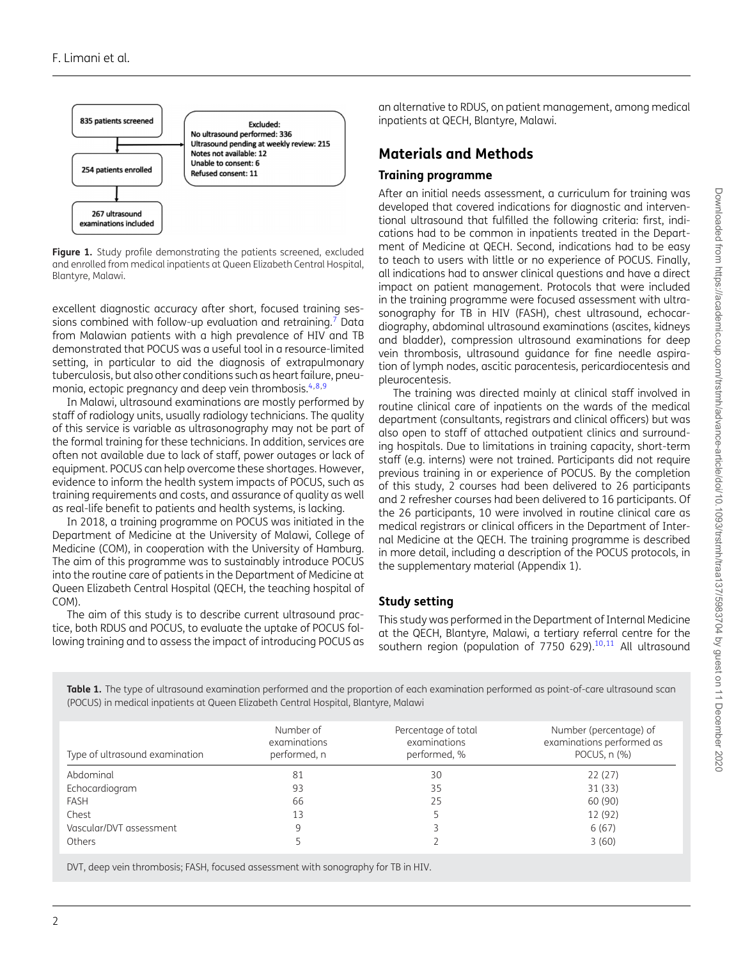<span id="page-1-0"></span>

Figure 1. Study profile demonstrating the patients screened, excluded and enrolled from medical inpatients at Queen Elizabeth Central Hospital, Blantyre, Malawi.

excellent diagnostic accuracy after short, focused training sessions combined with follow-up evaluation and retraining.<sup>7</sup> Data from Malawian patients with a high prevalence of HIV and TB demonstrated that POCUS was a useful tool in a resource-limited setting, in particular to aid the diagnosis of extrapulmonary tuberculosis, but also other conditions such as heart failure, pneu-monia, ectopic pregnancy and deep vein thrombosis.<sup>4[,8,](#page-6-7)[9](#page-6-8)</sup>

In Malawi, ultrasound examinations are mostly performed by staff of radiology units, usually radiology technicians. The quality of this service is variable as ultrasonography may not be part of the formal training for these technicians. In addition, services are often not available due to lack of staff, power outages or lack of equipment. POCUS can help overcome these shortages. However, evidence to inform the health system impacts of POCUS, such as training requirements and costs, and assurance of quality as well as real-life benefit to patients and health systems, is lacking.

In 2018, a training programme on POCUS was initiated in the Department of Medicine at the University of Malawi, College of Medicine (COM), in cooperation with the University of Hamburg. The aim of this programme was to sustainably introduce POCUS into the routine care of patients in the Department of Medicine at Queen Elizabeth Central Hospital (QECH, the teaching hospital of COM).

The aim of this study is to describe current ultrasound practice, both RDUS and POCUS, to evaluate the uptake of POCUS following training and to assess the impact of introducing POCUS as

an alternative to RDUS, on patient management, among medical inpatients at QECH, Blantyre, Malawi.

# **Materials and Methods**

#### **Training programme**

After an initial needs assessment, a curriculum for training was developed that covered indications for diagnostic and interventional ultrasound that fulfilled the following criteria: first, indications had to be common in inpatients treated in the Department of Medicine at QECH. Second, indications had to be easy to teach to users with little or no experience of POCUS. Finally, all indications had to answer clinical questions and have a direct impact on patient management. Protocols that were included in the training programme were focused assessment with ultrasonography for TB in HIV (FASH), chest ultrasound, echocardiography, abdominal ultrasound examinations (ascites, kidneys and bladder), compression ultrasound examinations for deep vein thrombosis, ultrasound guidance for fine needle aspiration of lymph nodes, ascitic paracentesis, pericardiocentesis and pleurocentesis.

The training was directed mainly at clinical staff involved in routine clinical care of inpatients on the wards of the medical department (consultants, registrars and clinical officers) but was also open to staff of attached outpatient clinics and surrounding hospitals. Due to limitations in training capacity, short-term staff (e.g. interns) were not trained. Participants did not require previous training in or experience of POCUS. By the completion of this study, 2 courses had been delivered to 26 participants and 2 refresher courses had been delivered to 16 participants. Of the 26 participants, 10 were involved in routine clinical care as medical registrars or clinical officers in the Department of Internal Medicine at the QECH. The training programme is described in more detail, including a description of the POCUS protocols, in the supplementary material (Appendix 1).

#### **Study setting**

This study was performed in the Department of Internal Medicine at the QECH, Blantyre, Malawi, a tertiary referral centre for the southern region (population of  $7750$  629).<sup>[10,](#page-6-9)[11](#page-6-10)</sup> All ultrasound

<span id="page-1-1"></span>**Table 1.** The type of ultrasound examination performed and the proportion of each examination performed as point-of-care ultrasound scan (POCUS) in medical inpatients at Queen Elizabeth Central Hospital, Blantyre, Malawi

| Type of ultrasound examination | Number of<br>examinations<br>performed, n | Percentage of total<br>examinations<br>performed, % | Number (percentage) of<br>examinations performed as<br>POCUS, $n$ $(\%)$ |
|--------------------------------|-------------------------------------------|-----------------------------------------------------|--------------------------------------------------------------------------|
| Abdominal                      | 81                                        | 30                                                  | 22(27)                                                                   |
| Echocardiogram                 | 93                                        | 35                                                  | 31 (33)                                                                  |
| <b>FASH</b>                    | 66                                        | 25                                                  | 60 (90)                                                                  |
| Chest                          | 13                                        |                                                     | 12 (92)                                                                  |
| Vascular/DVT assessment        | 9                                         |                                                     | 6(67)                                                                    |
| Others                         |                                           |                                                     | 3(60)                                                                    |

DVT, deep vein thrombosis; FASH, focused assessment with sonography for TB in HIV.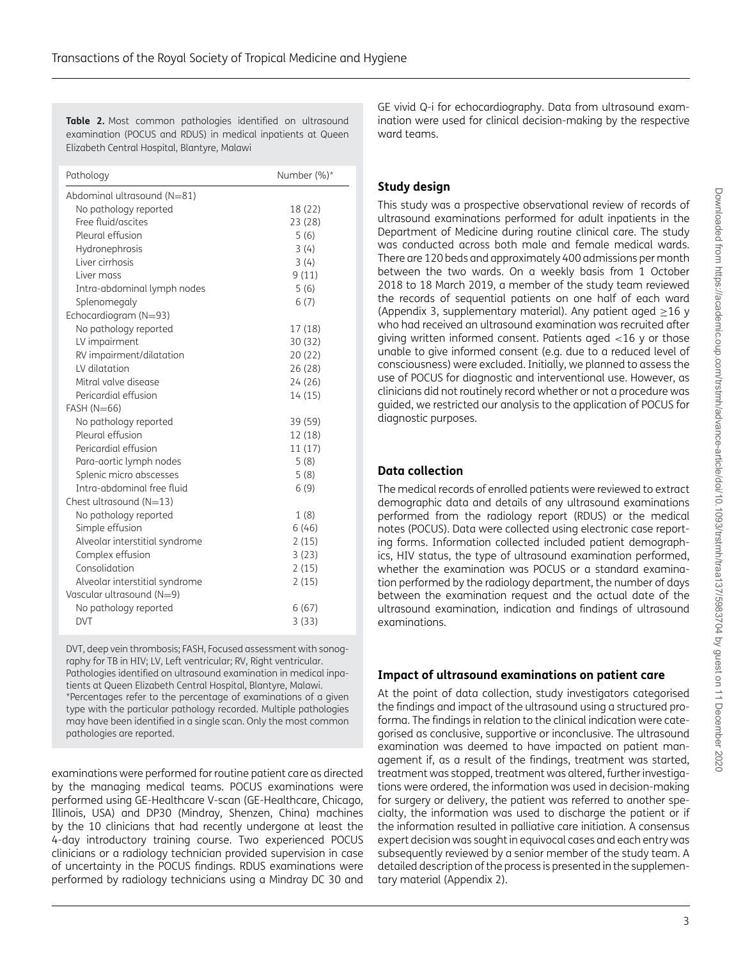<span id="page-2-0"></span>**Table 2.** Most common pathologies identified on ultrasound examination (POCUS and RDUS) in medical inpatients at Queen Elizabeth Central Hospital, Blantyre, Malawi

| Pathology                      | Number (%)* |
|--------------------------------|-------------|
| Abdominal ultrasound (N=81)    |             |
| No pathology reported          | 18 (22)     |
| Free fluid/ascites             | 23 (28)     |
| Pleural effusion               | 5(6)        |
| Hydronephrosis                 | 3(4)        |
| Liver cirrhosis                | 3(4)        |
| Liver mass                     | 9(11)       |
| Intra-abdominal lymph nodes    | 5(6)        |
| Splenomegaly                   | 6(7)        |
| Echocardiogram (N=93)          |             |
| No pathology reported          | 17 (18)     |
| LV impairment                  | 30(32)      |
| RV impairment/dilatation       | 20(22)      |
| LV dilatation                  | 26(28)      |
| Mitral valve disease           | 24(26)      |
| Pericardial effusion           | 14 (15)     |
| $FAST (N=66)$                  |             |
| No pathology reported          | 39 (59)     |
| Pleural effusion               | 12 (18)     |
| Pericardial effusion           | 11(17)      |
| Para-aortic lymph nodes        | 5(8)        |
| Splenic micro abscesses        | 5(8)        |
| Intra-abdominal free fluid     | 6(9)        |
| Chest ultrasound $(N=13)$      |             |
| No pathology reported          | 1(8)        |
| Simple effusion                | 6(46)       |
| Alveolar interstitial syndrome | 2(15)       |
| Complex effusion               | 3(23)       |
| Consolidation                  | 2(15)       |
| Alveolar interstitial syndrome | 2(15)       |
| Vascular ultrasound (N=9)      |             |
| No pathology reported          | 6(67)       |
| <b>DVT</b>                     | 3(33)       |

DVT, deep vein thrombosis; FASH, Focused assessment with sonography for TB in HIV; LV, Left ventricular; RV, Right ventricular. Pathologies identified on ultrasound examination in medical inpatients at Queen Elizabeth Central Hospital, Blantyre, Malawi. \*Percentages refer to the percentage of examinations of a given type with the particular pathology recorded. Multiple pathologies may have been identified in a single scan. Only the most common pathologies are reported.

examinations were performed for routine patient care as directed by the managing medical teams. POCUS examinations were performed using GE-Healthcare V-scan (GE-Healthcare, Chicago, Illinois, USA) and DP30 (Mindray, Shenzen, China) machines by the 10 clinicians that had recently undergone at least the 4-day introductory training course. Two experienced POCUS clinicians or a radiology technician provided supervision in case of uncertainty in the POCUS findings. RDUS examinations were performed by radiology technicians using a Mindray DC 30 and

GE vivid Q-i for echocardiography. Data from ultrasound examination were used for clinical decision-making by the respective ward teams.

#### **Study design**

This study was a prospective observational review of records of ultrasound examinations performed for adult inpatients in the Department of Medicine during routine clinical care. The study was conducted across both male and female medical wards. There are 120 beds and approximately 400 admissions per month between the two wards. On a weekly basis from 1 October 2018 to 18 March 2019, a member of the study team reviewed the records of sequential patients on one half of each ward (Appendix 3, supplementary material). Any patient aged  $\geq$ 16 y who had received an ultrasound examination was recruited after giving written informed consent. Patients aged <16 y or those unable to give informed consent (e.g. due to a reduced level of consciousness) were excluded. Initially, we planned to assess the use of POCUS for diagnostic and interventional use. However, as clinicians did not routinely record whether or not a procedure was guided, we restricted our analysis to the application of POCUS for diagnostic purposes.

#### **Data collection**

The medical records of enrolled patients were reviewed to extract demographic data and details of any ultrasound examinations performed from the radiology report (RDUS) or the medical notes (POCUS). Data were collected using electronic case reporting forms. Information collected included patient demographics, HIV status, the type of ultrasound examination performed, whether the examination was POCUS or a standard examination performed by the radiology department, the number of days between the examination request and the actual date of the ultrasound examination, indication and findings of ultrasound examinations.

#### **Impact of ultrasound examinations on patient care**

At the point of data collection, study investigators categorised the findings and impact of the ultrasound using a structured proforma. The findings in relation to the clinical indication were categorised as conclusive, supportive or inconclusive. The ultrasound examination was deemed to have impacted on patient management if, as a result of the findings, treatment was started, treatment was stopped, treatment was altered, further investigations were ordered, the information was used in decision-making for surgery or delivery, the patient was referred to another specialty, the information was used to discharge the patient or if the information resulted in palliative care initiation. A consensus expert decision was sought in equivocal cases and each entry was subsequently reviewed by a senior member of the study team. A detailed description of the process is presented in the supplementary material (Appendix 2).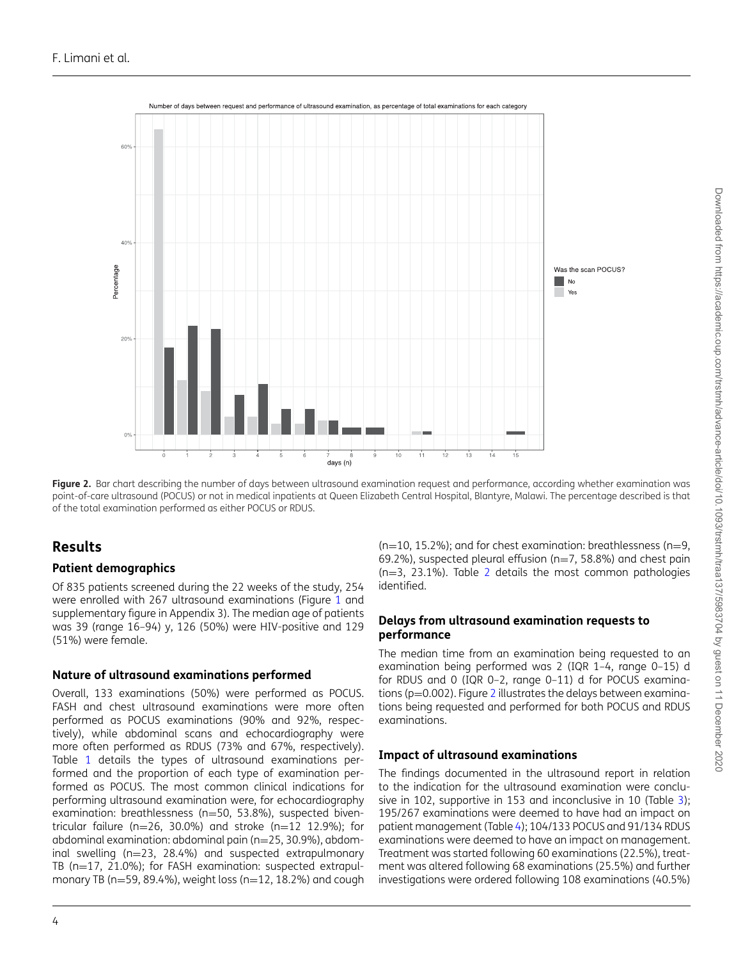<span id="page-3-0"></span>

Figure 2. Bar chart describing the number of days between ultrasound examination request and performance, according whether examination was point-of-care ultrasound (POCUS) or not in medical inpatients at Queen Elizabeth Central Hospital, Blantyre, Malawi. The percentage described is that of the total examination performed as either POCUS or RDUS.

# **Results**

#### **Patient demographics**

Of 835 patients screened during the 22 weeks of the study, 254 were enrolled with 267 ultrasound examinations (Figure [1](#page-1-0) and supplementary figure in Appendix 3). The median age of patients was 39 (range 16–94) y, 126 (50%) were HIV-positive and 129 (51%) were female.

#### **Nature of ultrasound examinations performed**

Overall, 133 examinations (50%) were performed as POCUS. FASH and chest ultrasound examinations were more often performed as POCUS examinations (90% and 92%, respectively), while abdominal scans and echocardiography were more often performed as RDUS (73% and 67%, respectively). Table [1](#page-1-1) details the types of ultrasound examinations performed and the proportion of each type of examination performed as POCUS. The most common clinical indications for performing ultrasound examination were, for echocardiography examination: breathlessness (n=50, 53.8%), suspected biventricular failure ( $n=26$ , 30.0%) and stroke ( $n=12$  12.9%); for abdominal examination: abdominal pain (n=25, 30.9%), abdominal swelling (n=23, 28.4%) and suspected extrapulmonary TB (n=17, 21.0%); for FASH examination: suspected extrapulmonary TB ( $n=59$ , 89.4%), weight loss ( $n=12$ , 18.2%) and cough  $(n=10, 15.2\%)$ ; and for chest examination: breathlessness (n=9, 69.2%), suspected pleural effusion ( $n=7$ , 58.8%) and chest pain  $(n=3, 23.1\%)$  $(n=3, 23.1\%)$  $(n=3, 23.1\%)$ . Table 2 details the most common pathologies identified.

#### **Delays from ultrasound examination requests to performance**

The median time from an examination being requested to an examination being performed was 2 (IQR 1–4, range 0–15) d for RDUS and 0 (IQR 0–2, range 0–11) d for POCUS examina-tions (p=0.00[2](#page-3-0)). Figure 2 illustrates the delays between examinations being requested and performed for both POCUS and RDUS examinations.

#### **Impact of ultrasound examinations**

The findings documented in the ultrasound report in relation to the indication for the ultrasound examination were conclu-sive in 102, supportive in 153 and inconclusive in 10 (Table [3\)](#page-4-0); 195/267 examinations were deemed to have had an impact on patient management (Table [4\)](#page-5-0); 104/133 POCUS and 91/134 RDUS examinations were deemed to have an impact on management. Treatment was started following 60 examinations (22.5%), treatment was altered following 68 examinations (25.5%) and further investigations were ordered following 108 examinations (40.5%)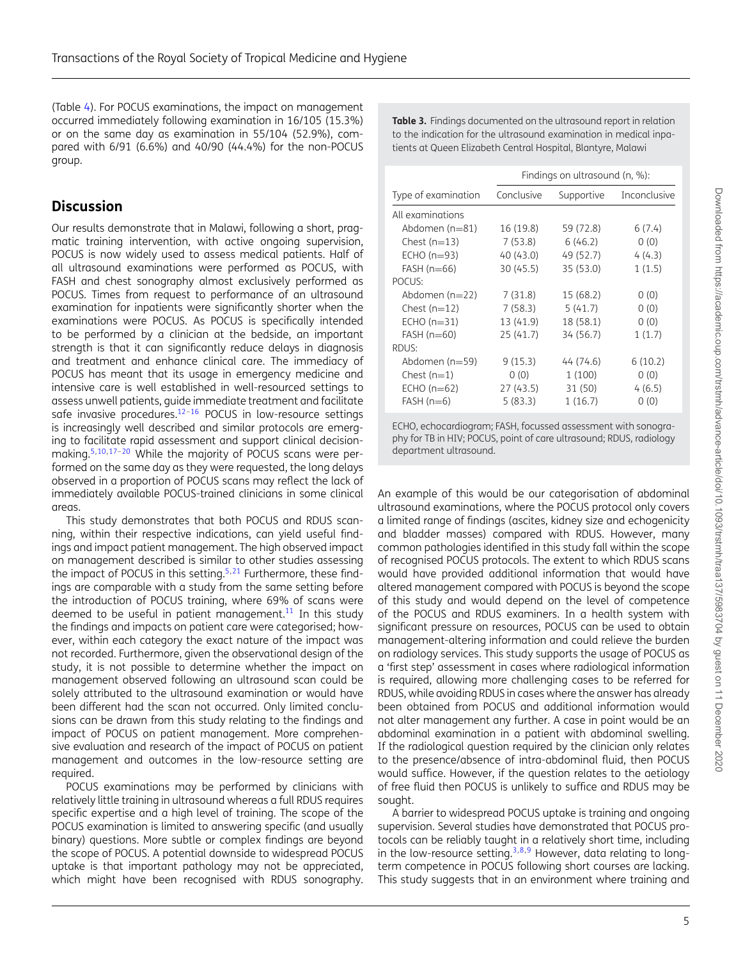Downloaded from https://academic.oup.com/trstmh/advance-article/doi/10.1093/trstmh/traa137/5983704 by guest on 11 December 2020 Downloaded from https://academic.oup.com/trstmh/advance-article/doi/10.1093/trstmh/traa137/5983704 by guest on 11 December 2020

(Table [4\)](#page-5-0). For POCUS examinations, the impact on management occurred immediately following examination in 16/105 (15.3%) or on the same day as examination in 55/104 (52.9%), compared with 6/91 (6.6%) and 40/90 (44.4%) for the non-POCUS group.

# **Discussion**

Our results demonstrate that in Malawi, following a short, pragmatic training intervention, with active ongoing supervision, POCUS is now widely used to assess medical patients. Half of all ultrasound examinations were performed as POCUS, with FASH and chest sonography almost exclusively performed as POCUS. Times from request to performance of an ultrasound examination for inpatients were significantly shorter when the examinations were POCUS. As POCUS is specifically intended to be performed by a clinician at the bedside, an important strength is that it can significantly reduce delays in diagnosis and treatment and enhance clinical care. The immediacy of POCUS has meant that its usage in emergency medicine and intensive care is well established in well-resourced settings to assess unwell patients, guide immediate treatment and facilitate safe invasive procedures.<sup>12-[16](#page-6-12)</sup> POCUS in low-resource settings is increasingly well described and similar protocols are emerging to facilitate rapid assessment and support clinical decision-making.<sup>5,[10,](#page-6-9)17-[20](#page-6-14)</sup> While the majority of POCUS scans were performed on the same day as they were requested, the long delays observed in a proportion of POCUS scans may reflect the lack of immediately available POCUS-trained clinicians in some clinical areas.

This study demonstrates that both POCUS and RDUS scanning, within their respective indications, can yield useful findings and impact patient management. The high observed impact on management described is similar to other studies assessing the impact of POCUS in this setting.<sup>[5,](#page-6-4)[21](#page-6-15)</sup> Furthermore, these findings are comparable with a study from the same setting before the introduction of POCUS training, where 69% of scans were deemed to be useful in patient management.<sup>[11](#page-6-10)</sup> In this study the findings and impacts on patient care were categorised; however, within each category the exact nature of the impact was not recorded. Furthermore, given the observational design of the study, it is not possible to determine whether the impact on management observed following an ultrasound scan could be solely attributed to the ultrasound examination or would have been different had the scan not occurred. Only limited conclusions can be drawn from this study relating to the findings and impact of POCUS on patient management. More comprehensive evaluation and research of the impact of POCUS on patient management and outcomes in the low-resource setting are required.

POCUS examinations may be performed by clinicians with relatively little training in ultrasound whereas a full RDUS requires specific expertise and a high level of training. The scope of the POCUS examination is limited to answering specific (and usually binary) questions. More subtle or complex findings are beyond the scope of POCUS. A potential downside to widespread POCUS uptake is that important pathology may not be appreciated, which might have been recognised with RDUS sonography.

<span id="page-4-0"></span>**Table 3.** Findings documented on the ultrasound report in relation to the indication for the ultrasound examination in medical inpatients at Queen Elizabeth Central Hospital, Blantyre, Malawi

|                     | Findings on ultrasound (n, %): |            |              |  |
|---------------------|--------------------------------|------------|--------------|--|
| Type of examination | Conclusive                     | Supportive | Inconclusive |  |
| All examinations    |                                |            |              |  |
| Abdomen ( $n=81$ )  | 16 (19.8)                      | 59 (72.8)  | 6(7.4)       |  |
| Chest $(n=13)$      | 7(53.8)                        | 6(46.2)    | 0(0)         |  |
| $ECHO(n=93)$        | 40 (43.0)                      | 49 (52.7)  | 4(4.3)       |  |
| $FAST (n=66)$       | 30 (45.5)                      | 35 (53.0)  | 1(1.5)       |  |
| POCUS:              |                                |            |              |  |
| Abdomen $(n=22)$    | 7(31.8)                        | 15 (68.2)  | 0(0)         |  |
| Chest $(n=12)$      | 7(58.3)                        | 5(41.7)    | 0(0)         |  |
| $ECHO(n=31)$        | 13 (41.9)                      | 18 (58.1)  | 0(0)         |  |
| $FAST (n=60)$       | 25 (41.7)                      | 34 (56.7)  | 1(1.7)       |  |
| RDUS:               |                                |            |              |  |
| Abdomen (n=59)      | 9(15.3)                        | 44 (74.6)  | 6(10.2)      |  |
| Chest $(n=1)$       | 0(0)                           | 1(100)     | 0(0)         |  |
| $ECHO(n=62)$        | 27 (43.5)                      | 31 (50)    | 4(6.5)       |  |
| $FAST (n=6)$        | 5(83.3)                        | 1(16.7)    | 0(0)         |  |
|                     |                                |            |              |  |

ECHO, echocardiogram; FASH, focussed assessment with sonography for TB in HIV; POCUS, point of care ultrasound; RDUS, radiology department ultrasound.

An example of this would be our categorisation of abdominal ultrasound examinations, where the POCUS protocol only covers a limited range of findings (ascites, kidney size and echogenicity and bladder masses) compared with RDUS. However, many common pathologies identified in this study fall within the scope of recognised POCUS protocols. The extent to which RDUS scans would have provided additional information that would have altered management compared with POCUS is beyond the scope of this study and would depend on the level of competence of the POCUS and RDUS examiners. In a health system with significant pressure on resources, POCUS can be used to obtain management-altering information and could relieve the burden on radiology services. This study supports the usage of POCUS as a 'first step' assessment in cases where radiological information is required, allowing more challenging cases to be referred for RDUS, while avoiding RDUS in cases where the answer has already been obtained from POCUS and additional information would not alter management any further. A case in point would be an abdominal examination in a patient with abdominal swelling. If the radiological question required by the clinician only relates to the presence/absence of intra-abdominal fluid, then POCUS would suffice. However, if the question relates to the aetiology of free fluid then POCUS is unlikely to suffice and RDUS may be sought.

A barrier to widespread POCUS uptake is training and ongoing supervision. Several studies have demonstrated that POCUS protocols can be reliably taught in a relatively short time, including in the low-resource setting. $3,8,9$  $3,8,9$  $3,8,9$  However, data relating to longterm competence in POCUS following short courses are lacking. This study suggests that in an environment where training and

5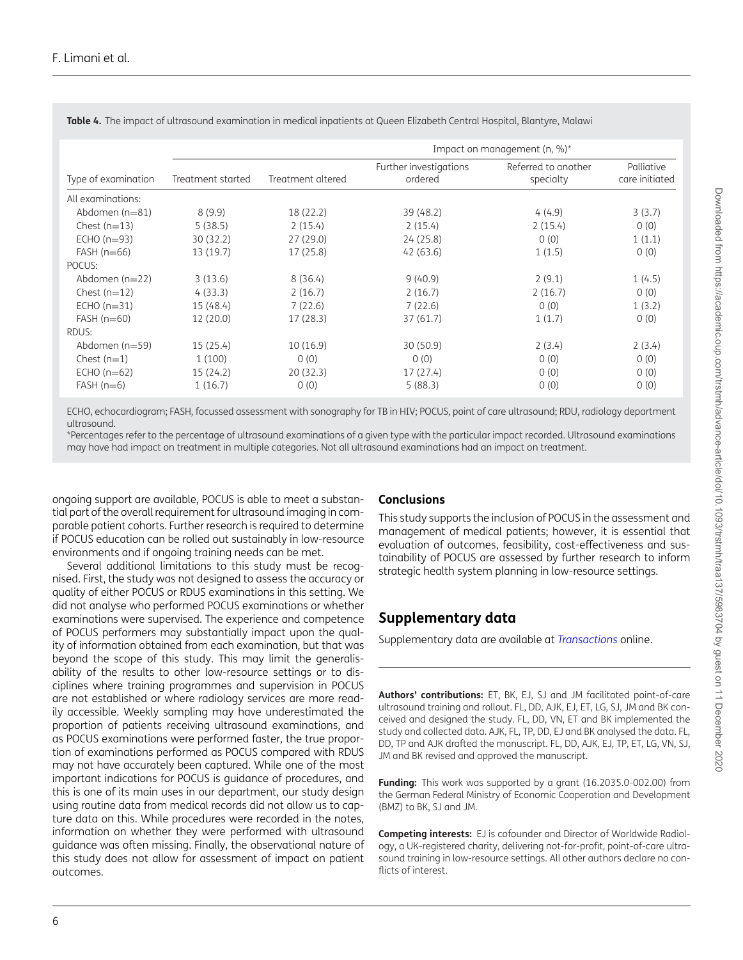|                     |                   |                   | Impact on management $(n, %)^*$   |                                  |                              |  |
|---------------------|-------------------|-------------------|-----------------------------------|----------------------------------|------------------------------|--|
| Type of examination | Treatment started | Treatment altered | Further investigations<br>ordered | Referred to another<br>specialty | Palliative<br>care initiated |  |
| All examinations:   |                   |                   |                                   |                                  |                              |  |
| Abdomen $(n=81)$    | 8(9.9)            | 18 (22.2)         | 39 (48.2)                         | 4(4.9)                           | 3(3.7)                       |  |
| Chest $(n=13)$      | 5(38.5)           | 2(15.4)           | 2(15.4)                           | 2(15.4)                          | 0(0)                         |  |
| $ECHO(n=93)$        | 30(32.2)          | 27(29.0)          | 24(25.8)                          | 0(0)                             | 1(1.1)                       |  |
| $FAST (n=66)$       | 13 (19.7)         | 17 (25.8)         | 42(63.6)                          | 1(1.5)                           | 0(0)                         |  |
| POCUS:              |                   |                   |                                   |                                  |                              |  |
| Abdomen $(n=22)$    | 3(13.6)           | 8(36.4)           | 9(40.9)                           | 2(9.1)                           | 1(4.5)                       |  |
| Chest $(n=12)$      | 4(33.3)           | 2(16.7)           | 2(16.7)                           | 2(16.7)                          | 0(0)                         |  |
| $ECHO (n=31)$       | 15 (48.4)         | 7(22.6)           | 7(22.6)                           | 0(0)                             | 1(3.2)                       |  |
| $FAST (n=60)$       | 12 (20.0)         | 17(28.3)          | 37(61.7)                          | 1(1.7)                           | 0(0)                         |  |
| RDUS:               |                   |                   |                                   |                                  |                              |  |
| Abdomen $(n=59)$    | 15(25.4)          | 10(16.9)          | 30(50.9)                          | 2(3.4)                           | 2(3.4)                       |  |
| Chest $(n=1)$       | 1(100)            | 0(0)              | 0(0)                              | 0(0)                             | 0(0)                         |  |
| $ECHO(n=62)$        | 15(24.2)          | 20(32.3)          | 17(27.4)                          | 0(0)                             | 0(0)                         |  |
| $FAST (n=6)$        | 1(16.7)           | 0(0)              | 5(88.3)                           | 0(0)                             | 0(0)                         |  |

<span id="page-5-0"></span>**Table 4.** The impact of ultrasound examination in medical inpatients at Queen Elizabeth Central Hospital, Blantyre, Malawi

ECHO, echocardiogram; FASH, focussed assessment with sonography for TB in HIV; POCUS, point of care ultrasound; RDU, radiology department ultrasound.

\*Percentages refer to the percentage of ultrasound examinations of a given type with the particular impact recorded. Ultrasound examinations may have had impact on treatment in multiple categories. Not all ultrasound examinations had an impact on treatment.

ongoing support are available, POCUS is able to meet a substantial part of the overall requirement for ultrasound imaging in comparable patient cohorts. Further research is required to determine if POCUS education can be rolled out sustainably in low-resource environments and if ongoing training needs can be met.

Several additional limitations to this study must be recognised. First, the study was not designed to assess the accuracy or quality of either POCUS or RDUS examinations in this setting. We did not analyse who performed POCUS examinations or whether examinations were supervised. The experience and competence of POCUS performers may substantially impact upon the quality of information obtained from each examination, but that was beyond the scope of this study. This may limit the generalisability of the results to other low-resource settings or to disciplines where training programmes and supervision in POCUS are not established or where radiology services are more readily accessible. Weekly sampling may have underestimated the proportion of patients receiving ultrasound examinations, and as POCUS examinations were performed faster, the true proportion of examinations performed as POCUS compared with RDUS may not have accurately been captured. While one of the most important indications for POCUS is guidance of procedures, and this is one of its main uses in our department, our study design using routine data from medical records did not allow us to capture data on this. While procedures were recorded in the notes, information on whether they were performed with ultrasound guidance was often missing. Finally, the observational nature of this study does not allow for assessment of impact on patient outcomes.

#### **Conclusions**

This study supports the inclusion of POCUS in the assessment and management of medical patients; however, it is essential that evaluation of outcomes, feasibility, cost-effectiveness and sustainability of POCUS are assessed by further research to inform strategic health system planning in low-resource settings.

# **Supplementary data**

Supplementary data are available at *[Transactions](https://academic.oup.com/trstmh/article-lookup/doi/10.1093/trstmh/traa137#supplementary-data)* online.

**Authors' contributions:** ET, BK, EJ, SJ and JM facilitated point-of-care ultrasound training and rollout. FL, DD, AJK, EJ, ET, LG, SJ, JM and BK conceived and designed the study. FL, DD, VN, ET and BK implemented the study and collected data. AJK, FL, TP, DD, EJ and BK analysed the data. FL, DD, TP and AJK drafted the manuscript. FL, DD, AJK, EJ, TP, ET, LG, VN, SJ, JM and BK revised and approved the manuscript.

**Funding:** This work was supported by a grant (16.2035.0-002.00) from the German Federal Ministry of Economic Cooperation and Development (BMZ) to BK, SJ and JM.

**Competing interests:** EJ is cofounder and Director of Worldwide Radiology, a UK-registered charity, delivering not-for-profit, point-of-care ultrasound training in low-resource settings. All other authors declare no conflicts of interest.